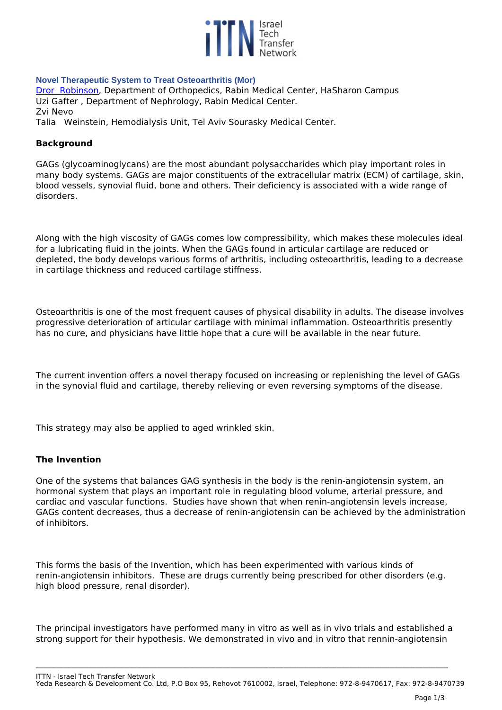

### **Novel Therapeutic System to Treat Osteoarthritis (Mor)**

*[Dror Robinson](www.mor-research.co.il), Department of Orthopedics, Rabin Medical Center, HaSharon Campus Uzi Gafter , Department of Nephrology, Rabin Medical Center. Zvi Nevo Talia Weinstein, Hemodialysis Unit, Tel Aviv Sourasky Medical Center.*

### **Background**

*GAGs (glycoaminoglycans) are the most abundant polysaccharides which play important roles in many body systems. GAGs are major constituents of the extracellular matrix (ECM) of cartilage, skin, blood vessels, synovial fluid, bone and others. Their deficiency is associated with a wide range of disorders.*

*Along with the high viscosity of GAGs comes low compressibility, which makes these molecules ideal for a lubricating fluid in the joints. When the GAGs found in articular cartilage are reduced or depleted, the body develops various forms of arthritis, including osteoarthritis, leading to a decrease in cartilage thickness and reduced cartilage stiffness.*

*Osteoarthritis is one of the most frequent causes of physical disability in adults. The disease involves progressive deterioration of articular cartilage with minimal inflammation. Osteoarthritis presently has no cure, and physicians have little hope that a cure will be available in the near future.* 

*The current invention offers a novel therapy focused on increasing or replenishing the level of GAGs in the synovial fluid and cartilage, thereby relieving or even reversing symptoms of the disease.*

*This strategy may also be applied to aged wrinkled skin.*

#### **The Invention**

*One of the systems that balances GAG synthesis in the body is the renin-angiotensin system, an hormonal system that plays an important role in regulating blood volume, arterial pressure, and cardiac and vascular functions. Studies have shown that when renin-angiotensin levels increase, GAGs content decreases, thus a decrease of renin-angiotensin can be achieved by the administration of inhibitors.* 

*This forms the basis of the Invention, which has been experimented with various kinds of renin-angiotensin inhibitors. These are drugs currently being prescribed for other disorders (e.g. high blood pressure, renal disorder).*

*The principal investigators have performed many in vitro as well as in vivo trials and established a strong support for their hypothesis. We demonstrated in vivo and in vitro that rennin-angiotensin*

**\_\_\_\_\_\_\_\_\_\_\_\_\_\_\_\_\_\_\_\_\_\_\_\_\_\_\_\_\_\_\_\_\_\_\_\_\_\_\_\_\_\_\_\_\_\_\_\_\_\_\_\_\_\_\_\_\_\_\_\_\_\_\_\_\_\_\_\_\_\_\_\_\_\_\_\_\_\_\_\_\_\_\_\_\_\_\_\_\_\_\_\_\_\_\_\_\_\_\_\_\_\_\_\_\_\_\_\_\_\_\_\_\_\_\_\_\_\_\_\_\_\_\_\_\_\_\_\_\_\_\_\_\_\_\_\_\_\_\_\_\_\_\_\_\_\_\_\_\_\_\_\_\_\_\_\_\_\_\_\_\_\_\_**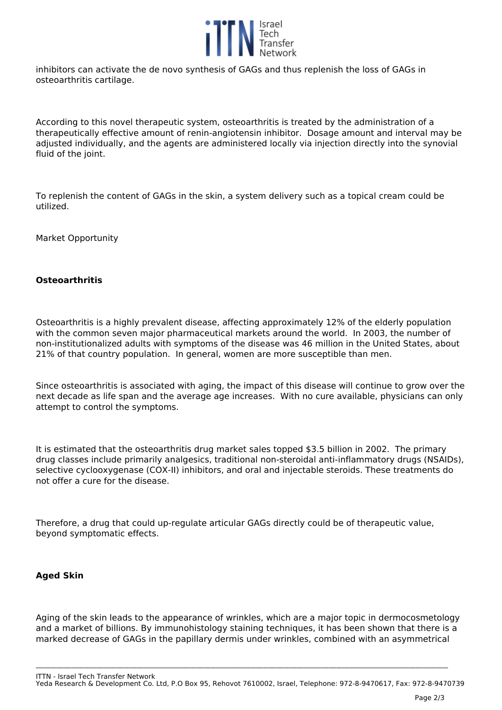

*inhibitors can activate the de novo synthesis of GAGs and thus replenish the loss of GAGs in osteoarthritis cartilage.*

*According to this novel therapeutic system, osteoarthritis is treated by the administration of a therapeutically effective amount of renin-angiotensin inhibitor. Dosage amount and interval may be adjusted individually, and the agents are administered locally via injection directly into the synovial fluid of the joint.*

*To replenish the content of GAGs in the skin, a system delivery such as a topical cream could be utilized.*

*Market Opportunity*

## **Osteoarthritis**

*Osteoarthritis is a highly prevalent disease, affecting approximately 12% of the elderly population with the common seven major pharmaceutical markets around the world. In 2003, the number of non-institutionalized adults with symptoms of the disease was 46 million in the United States, about 21% of that country population. In general, women are more susceptible than men.* 

*Since osteoarthritis is associated with aging, the impact of this disease will continue to grow over the next decade as life span and the average age increases. With no cure available, physicians can only attempt to control the symptoms.*

*It is estimated that the osteoarthritis drug market sales topped \$3.5 billion in 2002. The primary drug classes include primarily analgesics, traditional non-steroidal anti-inflammatory drugs (NSAIDs), selective cyclooxygenase (COX-II) inhibitors, and oral and injectable steroids. These treatments do not offer a cure for the disease.*

*Therefore, a drug that could up-regulate articular GAGs directly could be of therapeutic value, beyond symptomatic effects.* 

# **Aged Skin**

*Aging of the skin leads to the appearance of wrinkles, which are a major topic in dermocosmetology and a market of billions. By immunohistology staining techniques, it has been shown that there is a marked decrease of GAGs in the papillary dermis under wrinkles, combined with an asymmetrical*

*ITTN - Israel Tech Transfer Network Yeda Research & Development Co. Ltd, P.O Box 95, Rehovot 7610002, Israel, Telephone: 972-8-9470617, Fax: 972-8-9470739*

**\_\_\_\_\_\_\_\_\_\_\_\_\_\_\_\_\_\_\_\_\_\_\_\_\_\_\_\_\_\_\_\_\_\_\_\_\_\_\_\_\_\_\_\_\_\_\_\_\_\_\_\_\_\_\_\_\_\_\_\_\_\_\_\_\_\_\_\_\_\_\_\_\_\_\_\_\_\_\_\_\_\_\_\_\_\_\_\_\_\_\_\_\_\_\_\_\_\_\_\_\_\_\_\_\_\_\_\_\_\_\_\_\_\_\_\_\_\_\_\_\_\_\_\_\_\_\_\_\_\_\_\_\_\_\_\_\_\_\_\_\_\_\_\_\_\_\_\_\_\_\_\_\_\_\_\_\_\_\_\_\_\_\_**